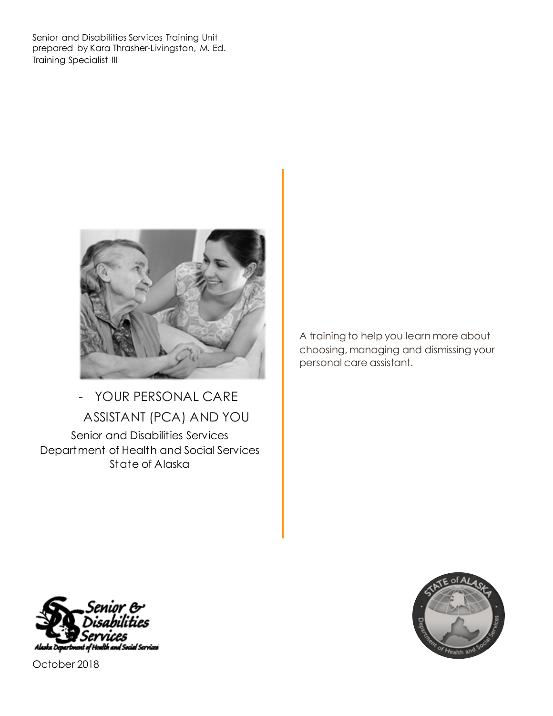Senior and Disabilities Services Training Unit prepared by Kara Thrasher-Livingston, M. Ed. Training Specialist III



- YOUR PERSONAL CARE ASSISTANT (PCA) AND YOU Senior and Disabilities Services Department of Health and Social Services State of Alaska

A training to help you learn more about choosing, managing and dismissing your personal care assistant.





October 2018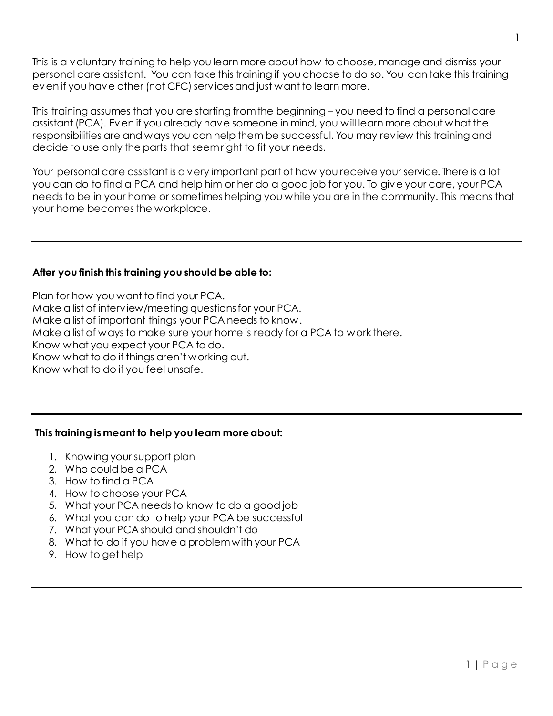This is a voluntary training to help you learn more about how to choose, manage and dismiss your personal care assistant. You can take this training if you choose to do so. You can take this training even if you have other (not CFC) services and just want to learn more.

This training assumes that you are starting from the beginning – you need to find a personal care assistant (PCA). Even if you already have someone in mind, you will learn more about what the responsibilities are and ways you can help them be successful. You may review this training and decide to use only the parts that seem right to fit your needs.

Your personal care assistant is a very important part of how you receive your service. There is a lot you can do to find a PCA and help him or her do a good job for you. To give your care, your PCA needs to be in your home or sometimes helping you while you are in the community. This means that your home becomes the workplace.

## **After you finish this training you should be able to:**

Plan for how you want to find your PCA. Make a list of interview/meeting questions for your PCA. Make a list of important things your PCA needs to know. Make a list of ways to make sure your home is ready for a PCA to work there. Know what you expect your PCA to do. Know what to do if things aren't working out. Know what to do if you feel unsafe.

## **This training is meant to help you learn more about:**

- 1. Knowing your support plan
- 2. Who could be a PCA
- 3. How to find a PCA
- 4. How to choose your PCA
- 5. What your PCA needs to know to do a good job
- 6. What you can do to help your PCA be successful
- 7. What your PCA should and shouldn't do
- 8. What to do if you have a problem with your PCA
- 9. How to get help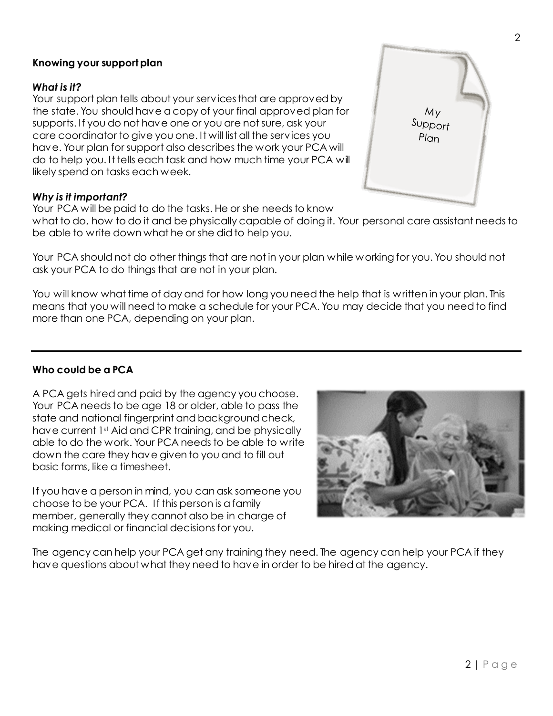## **Knowing your support plan**

#### *What is it?*

Your support plan tells about your services that are approved by the state. You should have a copy of your final approved plan for supports. If you do not have one or you are not sure, ask your care coordinator to give you one. It will list all the services you have. Your plan for support also describes the work your PCA will do to help you. It tells each task and how much time your PCA will likely spend on tasks each week.

#### *Why is it important?*

Your PCA will be paid to do the tasks. He or she needs to know

what to do, how to do it and be physically capable of doing it. Your personal care assistant needs to be able to write down what he or she did to help you.

Your PCA should not do other things that are not in your plan while working for you. You should not ask your PCA to do things that are not in your plan.

You will know what time of day and for how long you need the help that is written in your plan. This means that you will need to make a schedule for your PCA. You may decide that you need to find more than one PCA, depending on your plan.

#### **Who could be a PCA**

A PCA gets hired and paid by the agency you choose. Your PCA needs to be age 18 or older, able to pass the state and national fingerprint and background check, have current 1<sup>st</sup> Aid and CPR training, and be physically able to do the work. Your PCA needs to be able to write down the care they have given to you and to fill out basic forms, like a timesheet.

If you have a person in mind, you can ask someone you choose to be your PCA. If this person is a family member, generally they cannot also be in charge of making medical or financial decisions for you.

The agency can help your PCA get any training they need. The agency can help your PCA if they have questions about what they need to have in order to be hired at the agency.



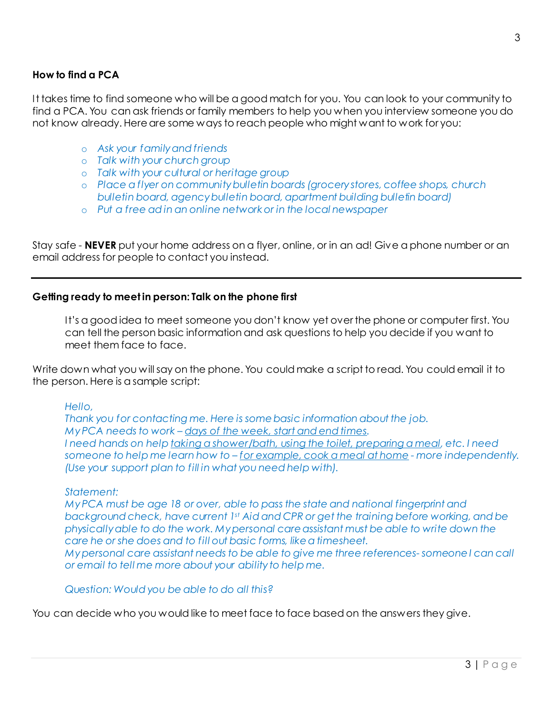## **How to find a PCA**

It takes time to find someone who will be a good match for you. You can look to your community to find a PCA. You can ask friends or family members to help you when you interview someone you do not know already. Here are some ways to reach people who might want to work for you:

- o *Ask your family and friends*
- o *Talk with your church group*
- o *Talk with your cultural or heritage group*
- o *Place a flyer on community bulletin boards (grocery stores, coffee shops, church bulletin board, agency bulletin board, apartment building bulletin board)*
- o *Put a free ad in an online network or in the local newspaper*

Stay safe - **NEVER** put your home address on a flyer, online, or in an ad! Give a phone number or an email address for people to contact you instead.

#### **Getting ready to meet in person: Talk on the phone first**

It's a good idea to meet someone you don't know yet over the phone or computer first. You can tell the person basic information and ask questions to help you decide if you want to meet them face to face.

Write down what you will say on the phone. You could make a script to read. You could email it to the person. Here is a sample script:

#### *Hello,*

*Thank you for contacting me. Here is some basic information about the job. My PCA needs to work – days of the week, start and end times. I need hands on help taking a shower/bath, using the toilet, preparing a meal, etc. I need someone to help me learn how to – for example, cook a meal at home - more independently. (Use your support plan to fill in what you need help with).*

#### *Statement:*

*My PCA must be age 18 or over, able to pass the state and national fingerprint and background check, have current 1st Aid and CPR or get the training before working, and be physically able to do the work. My personal care assistant must be able to write down the care he or she does and to fill out basic forms, like a timesheet. My personal care assistant needs to be able to give me three references- someone I can call or email to tell me more about your ability to help me.* 

*Question: Would you be able to do all this?* 

You can decide who you would like to meet face to face based on the answers they give.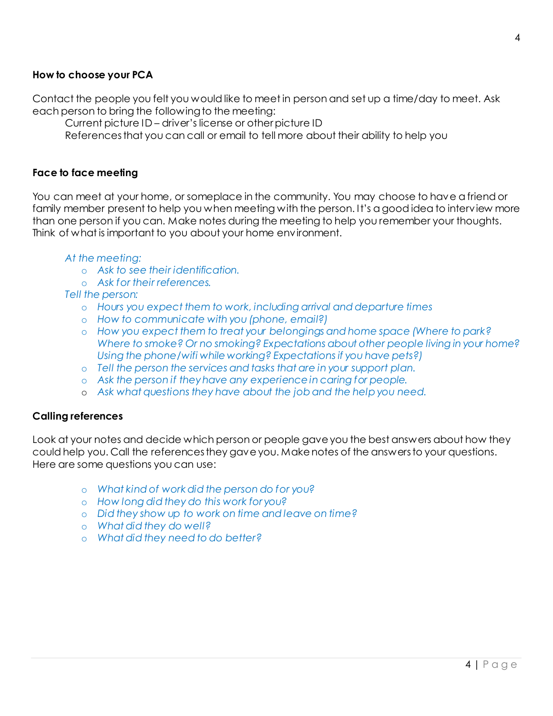## **How to choose your PCA**

Contact the people you felt you would like to meet in person and set up a time/day to meet. Ask each person to bring the following to the meeting:

Current picture ID – driver's license or other picture ID

References that you can call or email to tell more about their ability to help you

## **Face to face meeting**

You can meet at your home, or someplace in the community. You may choose to have a friend or family member present to help you when meeting with the person. It's a good idea to interview more than one person if you can. Make notes during the meeting to help you remember your thoughts. Think of what is important to you about your home environment.

#### *At the meeting:*

- o *Ask to see their identification.*
- o *Ask for their references.*
- *Tell the person:* 
	- o *Hours you expect them to work, including arrival and departure times*
	- o *How to communicate with you (phone, email?)*
	- o *How you expect them to treat your belongings and home space (Where to park? Where to smoke? Or no smoking? Expectations about other people living in your home? Using the phone/wifi while working? Expectations if you have pets?)*
	- o *Tell the person the services and tasks that are in your support plan.*
	- o *Ask the person if they have any experience in caring for people.*
	- o *Ask what questions they have about the job and the help you need.*

#### **Calling references**

Look at your notes and decide which person or people gave you the best answers about how they could help you. Call the references they gave you. Make notes of the answers to your questions. Here are some questions you can use:

- o *What kind of work did the person do for you?*
- o *How long did they do this work for you?*
- o *Did they show up to work on time and leave on time?*
- o *What did they do well?*
- o *What did they need to do better?*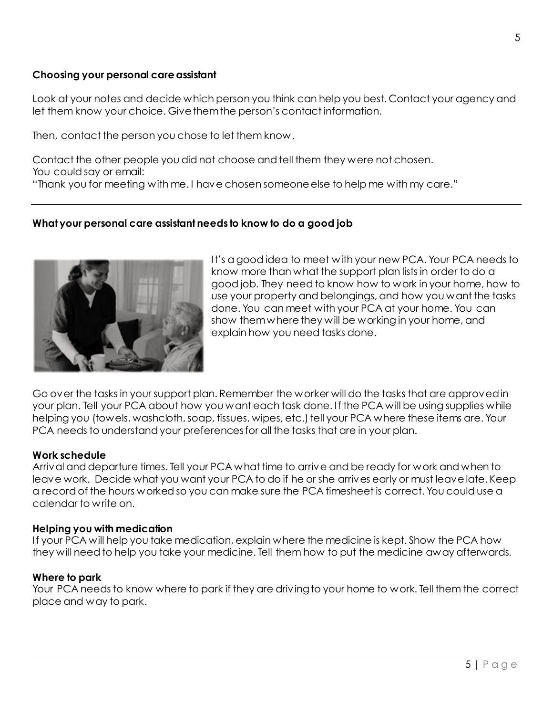## **Choosing your personal care assistant**

Look at your notes and decide which person you think can help you best. Contact your agency and let them know your choice. Give them the person's contact information.

Then, contact the person you chose to let them know.

Contact the other people you did not choose and tell them they were not chosen. You could say or email:

"Thank you for meeting with me. I have chosen someone else to help me with my care."

## **What your personal care assistant needs to know to do a good job**



It's a good idea to meet with your new PCA. Your PCA needs to know more than what the support plan lists in order to do a good job. They need to know how to work in your home, how to use your property and belongings, and how you want the tasks done. You can meet with your PCA at your home. You can show them where they will be working in your home, and explain how you need tasks done.

Go over the tasks in your support plan. Remember the worker will do the tasks that are approved in your plan. Tell your PCA about how you want each task done. If the PCA will be using supplies while helping you (towels, washcloth, soap, tissues, wipes, etc.) tell your PCA where these items are. Your PCA needs to understand your preferences for all the tasks that are in your plan.

#### **Work schedule**

Arrival and departure times. Tell your PCA what time to arrive and be ready for work and when to leave work. Decide what you want your PCA to do if he or she arrives early or must leave late. Keep a record of the hours worked so you can make sure the PCA timesheet is correct. You could use a calendar to write on.

#### **Helping you with medication**

If your PCA will help you take medication, explain where the medicine is kept. Show the PCA how they will need to help you take your medicine. Tell them how to put the medicine away afterwards.

## **Where to park**

Your PCA needs to know where to park if they are driving to your home to work. Tell them the correct place and way to park.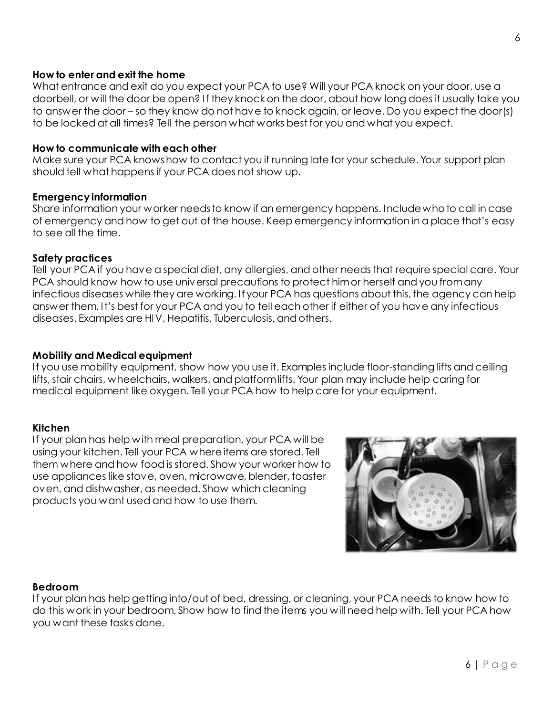## **How to enter and exit the home**

What entrance and exit do you expect your PCA to use? Will your PCA knock on your door, use a doorbell, or will the door be open? If they knock on the door, about how long does it usually take you to answer the door – so they know do not have to knock again, or leave. Do you expect the door(s) to be locked at all times? Tell the person what works best for you and what you expect.

#### **How to communicate with each other**

Make sure your PCA knows how to contact you if running late for your schedule. Your support plan should tell what happens if your PCA does not show up.

#### **Emergency information**

Share information your worker needs to know if an emergency happens. Include who to call in case of emergency and how to get out of the house. Keep emergency information in a place that's easy to see all the time.

#### **Safety practices**

Tell your PCA if you have a special diet, any allergies, and other needs that require special care. Your PCA should know how to use universal precautions to protect him or herself and you from any infectious diseases while they are working. If your PCA has questions about this, the agency can help answer them. It's best for your PCA and you to tell each other if either of you have any infectious diseases. Examples are HIV, Hepatitis, Tuberculosis, and others.

#### **Mobility and Medical equipment**

If you use mobility equipment, show how you use it. Examples include floor-standing lifts and ceiling lifts, stair chairs, wheelchairs, walkers, and platform lifts. Your plan may include help caring for medical equipment like oxygen. Tell your PCA how to help care for your equipment.

#### **Kitchen**

If your plan has help with meal preparation, your PCA will be using your kitchen. Tell your PCA where items are stored. Tell them where and how food is stored. Show your worker how to use appliances like stove, oven, microwave, blender, toaster oven, and dishwasher, as needed. Show which cleaning products you want used and how to use them.



#### **Bedroom**

If your plan has help getting into/out of bed, dressing, or cleaning, your PCA needs to know how to do this work in your bedroom. Show how to find the items you will need help with. Tell your PCA how you want these tasks done.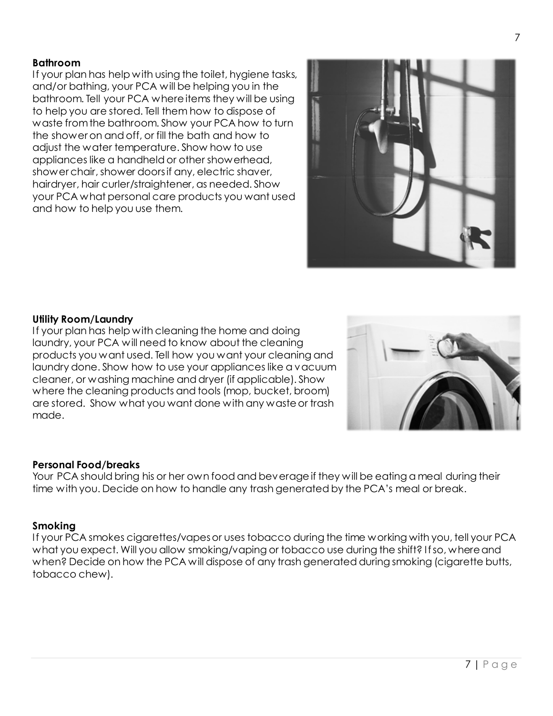#### **Bathroom**

If your plan has help with using the toilet, hygiene tasks, and/or bathing, your PCA will be helping you in the bathroom. Tell your PCA where items they will be using to help you are stored. Tell them how to dispose of waste from the bathroom. Show your PCA how to turn the shower on and off, or fill the bath and how to adjust the water temperature. Show how to use appliances like a handheld or other showerhead, shower chair, shower doors if any, electric shaver, hairdryer, hair curler/straightener, as needed. Show your PCA what personal care products you want used and how to help you use them.



#### **Utility Room/Laundry**

If your plan has help with cleaning the home and doing laundry, your PCA will need to know about the cleaning products you want used. Tell how you want your cleaning and laundry done. Show how to use your appliances like a vacuum cleaner, or washing machine and dryer (if applicable). Show where the cleaning products and tools (mop, bucket, broom) are stored. Show what you want done with any waste or trash made.



#### **Personal Food/breaks**

Your PCA should bring his or her own food and beverage if they will be eating a meal during their time with you. Decide on how to handle any trash generated by the PCA's meal or break.

#### **Smoking**

If your PCA smokes cigarettes/vapes or uses tobacco during the time working with you, tell your PCA what you expect. Will you allow smoking/vaping or tobacco use during the shift? If so, where and when? Decide on how the PCA will dispose of any trash generated during smoking (cigarette butts, tobacco chew).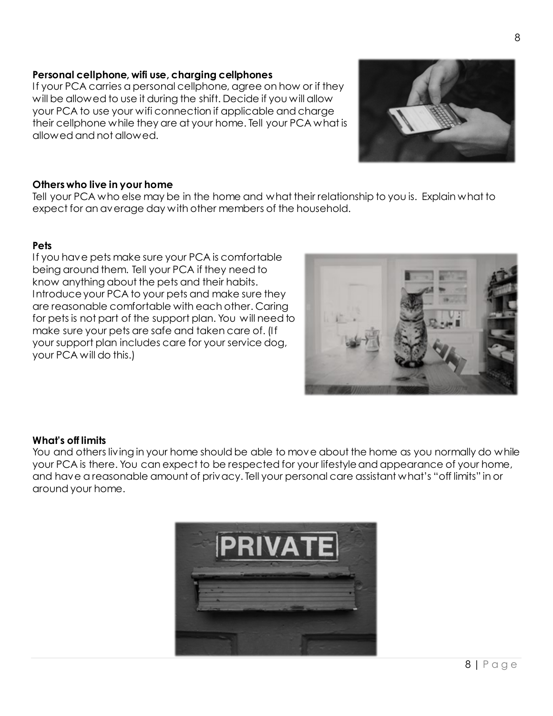## **Personal cellphone, wifi use, charging cellphones**

If your PCA carries a personal cellphone, agree on how or if they will be allowed to use it during the shift. Decide if you will allow your PCA to use your wifi connection if applicable and charge their cellphone while they are at your home. Tell your PCA what is allowed and not allowed.

### **Others who live in your home**

Tell your PCA who else may be in the home and what their relationship to you is. Explain what to expect for an average day with other members of the household.

#### **Pets**

If you have pets make sure your PCA is comfortable being around them. Tell your PCA if they need to know anything about the pets and their habits. Introduce your PCA to your pets and make sure they are reasonable comfortable with each other. Caring for pets is not part of the support plan. You will need to make sure your pets are safe and taken care of. (If your support plan includes care for your service dog, your PCA will do this.)

## **What's off limits**

You and others living in your home should be able to move about the home as you normally do while your PCA is there. You can expect to be respected for your lifestyle and appearance of your home, and have a reasonable amount of privacy. Tell your personal care assistant what's "off limits" in or around your home.





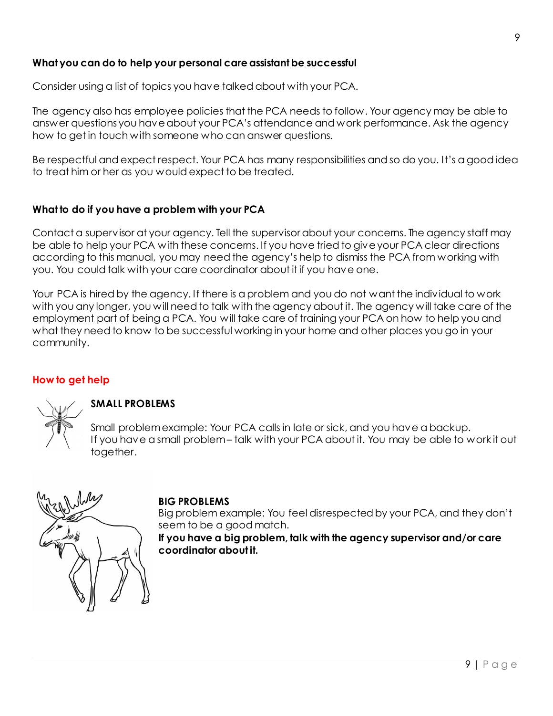# **What you can do to help your personal care assistantbe successful**

Consider using a list of topics you have talked about with your PCA.

The agency also has employee policies that the PCA needs to follow. Your agency may be able to answer questions you have about your PCA's attendance and work performance. Ask the agency how to get in touch with someone who can answer questions.

Be respectful and expect respect. Your PCA has many responsibilities and so do you. It's a good idea to treat him or her as you would expect to be treated.

## **What to do if you have a problem with your PCA**

Contact a supervisor at your agency. Tell the supervisor about your concerns. The agency staff may be able to help your PCA with these concerns. If you have tried to give your PCA clear directions according to this manual, you may need the agency's help to dismiss the PCA from working with you. You could talk with your care coordinator about it if you have one.

Your PCA is hired by the agency. If there is a problem and you do not want the individual to work with you any longer, you will need to talk with the agency about it. The agency will take care of the employment part of being a PCA. You will take care of training your PCA on how to help you and what they need to know to be successful working in your home and other places you go in your community.

## **How to get help**



## **SMALL PROBLEMS**

Small problem example: Your PCA calls in late or sick, and you have a backup. If you have a small problem – talk with your PCA about it. You may be able to work it out together.



## **BIG PROBLEMS**

Big problem example: You feel disrespected by your PCA, and they don't seem to be a good match.

**If you have a big problem, talk with the agency supervisor and/or care coordinator about it.**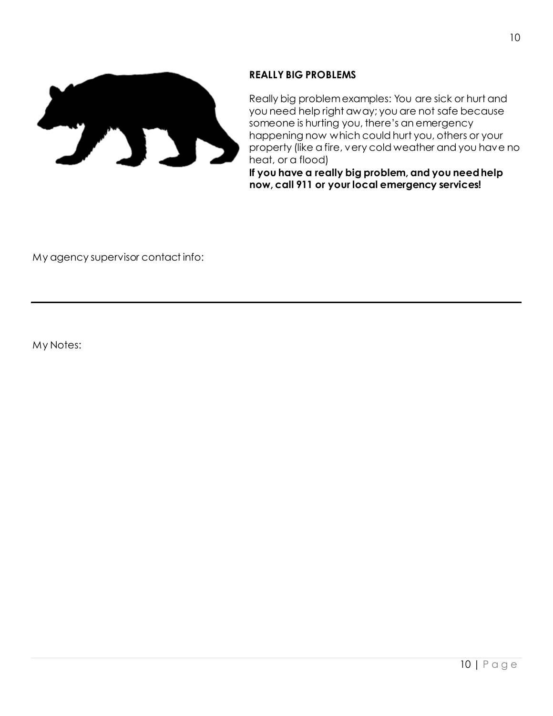

## **REALLY BIG PROBLEMS**

Really big problem examples: You are sick or hurt and you need help right away; you are not safe because someone is hurting you, there's an emergency happening now which could hurt you, others or your property (like a fire, very cold weather and you have no heat, or a flood)

**If you have a really big problem, and you need help now, call 911 or your local emergency services!** 

My agency supervisor contact info:

My Notes: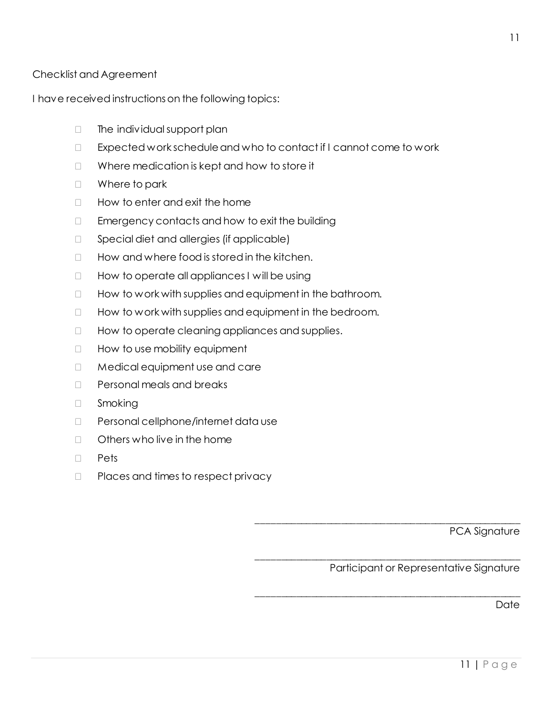# Checklist and Agreement

I have received instructions on the following topics:

- $\Box$  The individual support plan
- $\Box$  Expected work schedule and who to contact if I cannot come to work
- □ Where medication is kept and how to store it
- □ Where to park
- $\Box$  How to enter and exit the home
- $\Box$  Emergency contacts and how to exit the building
- $\Box$  Special diet and allergies (if applicable)
- $\Box$  How and where food is stored in the kitchen.
- $\Box$  How to operate all appliances I will be using
- $\Box$  How to work with supplies and equipment in the bathroom.
- $\Box$  How to work with supplies and equipment in the bedroom.
- $\Box$  How to operate cleaning appliances and supplies.
- $\Box$  How to use mobility equipment
- □ Medical equipment use and care
- $\neg$  Personal meals and breaks
- □ Smoking
- D Personal cellphone/internet data use
- $\Box$  Others who live in the home
- D Pets
- $\Box$  Places and times to respect privacy

PCA Signature

Participant or Representative Signature

\_\_\_\_\_\_\_\_\_\_\_\_\_\_\_\_\_\_\_\_\_\_\_\_\_\_\_\_\_\_\_\_\_\_\_\_\_\_\_\_\_\_\_\_\_\_\_\_\_\_\_\_\_

\_\_\_\_\_\_\_\_\_\_\_\_\_\_\_\_\_\_\_\_\_\_\_\_\_\_\_\_\_\_\_\_\_\_\_\_\_\_\_\_\_\_\_\_\_\_\_\_\_\_\_\_\_

\_\_\_\_\_\_\_\_\_\_\_\_\_\_\_\_\_\_\_\_\_\_\_\_\_\_\_\_\_\_\_\_\_\_\_\_\_\_\_\_\_\_\_\_\_\_\_\_\_\_\_\_\_

**Date**